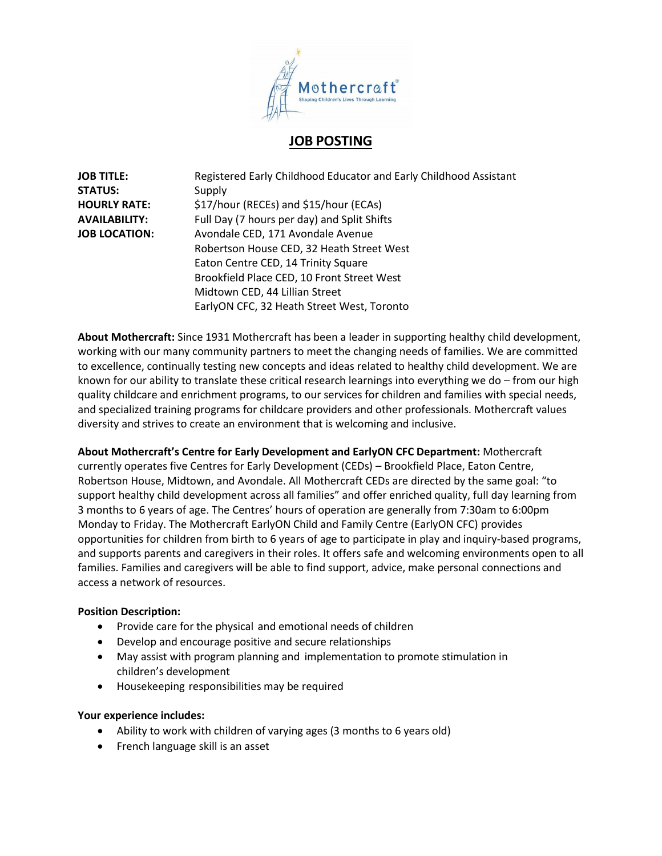

# **JOB POSTING**

| <b>JOB TITLE:</b>    | Registered Early Childhood Educator and Early Childhood Assistant |
|----------------------|-------------------------------------------------------------------|
| <b>STATUS:</b>       | Supply                                                            |
| <b>HOURLY RATE:</b>  | \$17/hour (RECEs) and \$15/hour (ECAs)                            |
| <b>AVAILABILITY:</b> | Full Day (7 hours per day) and Split Shifts                       |
| <b>JOB LOCATION:</b> | Avondale CED, 171 Avondale Avenue                                 |
|                      | Robertson House CED, 32 Heath Street West                         |
|                      | Eaton Centre CED, 14 Trinity Square                               |
|                      | Brookfield Place CED, 10 Front Street West                        |
|                      | Midtown CED, 44 Lillian Street                                    |
|                      | EarlyON CFC, 32 Heath Street West, Toronto                        |

**About Mothercraft:** Since 1931 Mothercraft has been a leader in supporting healthy child development, working with our many community partners to meet the changing needs of families. We are committed to excellence, continually testing new concepts and ideas related to healthy child development. We are known for our ability to translate these critical research learnings into everything we do – from our high quality childcare and enrichment programs, to our services for children and families with special needs, and specialized training programs for childcare providers and other professionals. Mothercraft values diversity and strives to create an environment that is welcoming and inclusive.

#### **About Mothercraft's Centre for Early Development and EarlyON CFC Department:** Mothercraft

currently operates five Centres for Early Development (CEDs) – Brookfield Place, Eaton Centre, Robertson House, Midtown, and Avondale. All Mothercraft CEDs are directed by the same goal: "to support healthy child development across all families" and offer enriched quality, full day learning from 3 months to 6 years of age. The Centres' hours of operation are generally from 7:30am to 6:00pm Monday to Friday. The Mothercraft EarlyON Child and Family Centre (EarlyON CFC) provides opportunities for children from birth to 6 years of age to participate in play and inquiry-based programs, and supports parents and caregivers in their roles. It offers safe and welcoming environments open to all families. Families and caregivers will be able to find support, advice, make personal connections and access a network of resources.

## **Position Description:**

- Provide care for the physical and emotional needs of children
- Develop and encourage positive and secure relationships
- May assist with program planning and implementation to promote stimulation in children's development
- Housekeeping responsibilities may be required

#### **Your experience includes:**

- Ability to work with children of varying ages (3 months to 6 years old)
- French language skill is an asset